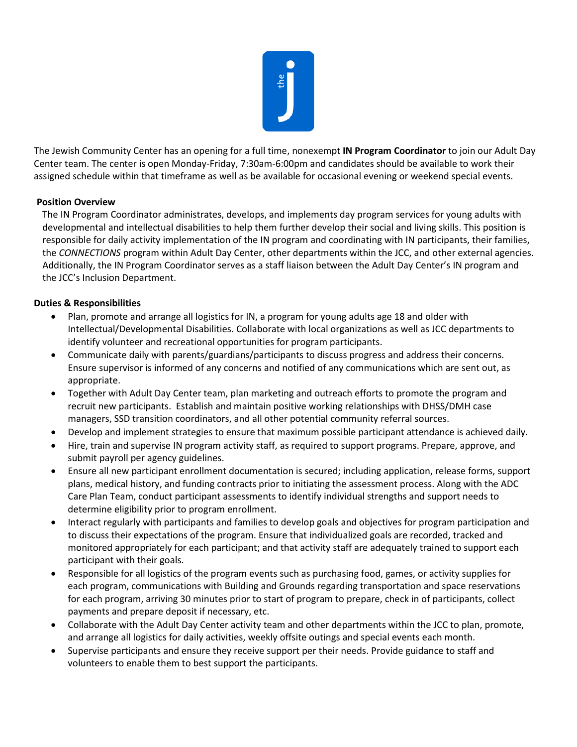

The Jewish Community Center has an opening for a full time, nonexempt **IN Program Coordinator** to join our Adult Day Center team. The center is open Monday-Friday, 7:30am-6:00pm and candidates should be available to work their assigned schedule within that timeframe as well as be available for occasional evening or weekend special events.

## **Position Overview**

The IN Program Coordinator administrates, develops, and implements day program services for young adults with developmental and intellectual disabilities to help them further develop their social and living skills. This position is responsible for daily activity implementation of the IN program and coordinating with IN participants, their families, the *CONNECTIONS* program within Adult Day Center, other departments within the JCC, and other external agencies. Additionally, the IN Program Coordinator serves as a staff liaison between the Adult Day Center's IN program and the JCC's Inclusion Department.

## **Duties & Responsibilities**

- Plan, promote and arrange all logistics for IN, a program for young adults age 18 and older with Intellectual/Developmental Disabilities. Collaborate with local organizations as well as JCC departments to identify volunteer and recreational opportunities for program participants.
- Communicate daily with parents/guardians/participants to discuss progress and address their concerns. Ensure supervisor is informed of any concerns and notified of any communications which are sent out, as appropriate.
- Together with Adult Day Center team, plan marketing and outreach efforts to promote the program and recruit new participants. Establish and maintain positive working relationships with DHSS/DMH case managers, SSD transition coordinators, and all other potential community referral sources.
- Develop and implement strategies to ensure that maximum possible participant attendance is achieved daily.
- Hire, train and supervise IN program activity staff, as required to support programs. Prepare, approve, and submit payroll per agency guidelines.
- Ensure all new participant enrollment documentation is secured; including application, release forms, support plans, medical history, and funding contracts prior to initiating the assessment process. Along with the ADC Care Plan Team, conduct participant assessments to identify individual strengths and support needs to determine eligibility prior to program enrollment.
- Interact regularly with participants and families to develop goals and objectives for program participation and to discuss their expectations of the program. Ensure that individualized goals are recorded, tracked and monitored appropriately for each participant; and that activity staff are adequately trained to support each participant with their goals.
- Responsible for all logistics of the program events such as purchasing food, games, or activity supplies for each program, communications with Building and Grounds regarding transportation and space reservations for each program, arriving 30 minutes prior to start of program to prepare, check in of participants, collect payments and prepare deposit if necessary, etc.
- Collaborate with the Adult Day Center activity team and other departments within the JCC to plan, promote, and arrange all logistics for daily activities, weekly offsite outings and special events each month.
- Supervise participants and ensure they receive support per their needs. Provide guidance to staff and volunteers to enable them to best support the participants.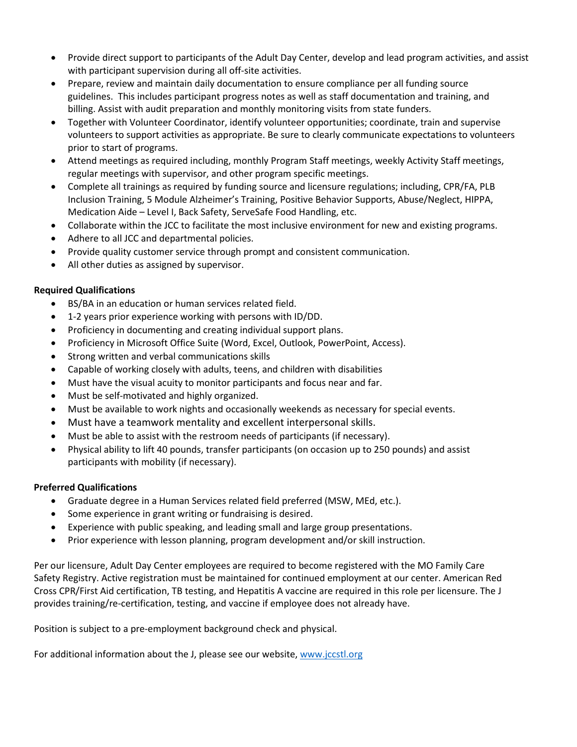- Provide direct support to participants of the Adult Day Center, develop and lead program activities, and assist with participant supervision during all off-site activities.
- Prepare, review and maintain daily documentation to ensure compliance per all funding source guidelines. This includes participant progress notes as well as staff documentation and training, and billing. Assist with audit preparation and monthly monitoring visits from state funders.
- Together with Volunteer Coordinator, identify volunteer opportunities; coordinate, train and supervise volunteers to support activities as appropriate. Be sure to clearly communicate expectations to volunteers prior to start of programs.
- Attend meetings as required including, monthly Program Staff meetings, weekly Activity Staff meetings, regular meetings with supervisor, and other program specific meetings.
- Complete all trainings as required by funding source and licensure regulations; including, CPR/FA, PLB Inclusion Training, 5 Module Alzheimer's Training, Positive Behavior Supports, Abuse/Neglect, HIPPA, Medication Aide – Level I, Back Safety, ServeSafe Food Handling, etc.
- Collaborate within the JCC to facilitate the most inclusive environment for new and existing programs.
- Adhere to all JCC and departmental policies.
- Provide quality customer service through prompt and consistent communication.
- All other duties as assigned by supervisor.

## **Required Qualifications**

- BS/BA in an education or human services related field.
- 1-2 years prior experience working with persons with ID/DD.
- Proficiency in documenting and creating individual support plans.
- Proficiency in Microsoft Office Suite (Word, Excel, Outlook, PowerPoint, Access).
- Strong written and verbal communications skills
- Capable of working closely with adults, teens, and children with disabilities
- Must have the visual acuity to monitor participants and focus near and far.
- Must be self-motivated and highly organized.
- Must be available to work nights and occasionally weekends as necessary for special events.
- Must have a teamwork mentality and excellent interpersonal skills.
- Must be able to assist with the restroom needs of participants (if necessary).
- Physical ability to lift 40 pounds, transfer participants (on occasion up to 250 pounds) and assist participants with mobility (if necessary).

## **Preferred Qualifications**

- Graduate degree in a Human Services related field preferred (MSW, MEd, etc.).
- Some experience in grant writing or fundraising is desired.
- Experience with public speaking, and leading small and large group presentations.
- Prior experience with lesson planning, program development and/or skill instruction.

Per our licensure, Adult Day Center employees are required to become registered with the MO Family Care Safety Registry. Active registration must be maintained for continued employment at our center. American Red Cross CPR/First Aid certification, TB testing, and Hepatitis A vaccine are required in this role per licensure. The J provides training/re-certification, testing, and vaccine if employee does not already have.

Position is subject to a pre-employment background check and physical.

For additional information about the J, please see our website[, www.jccstl.org](http://www.jccstl.org/)